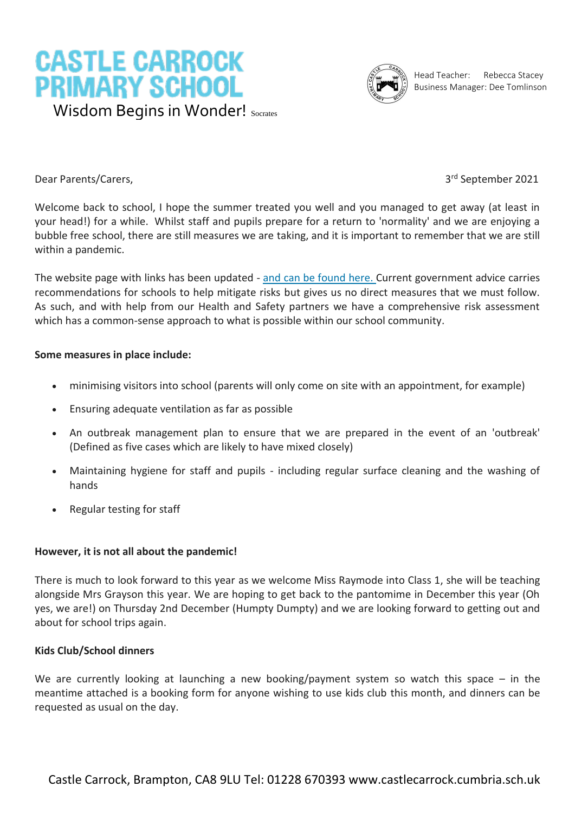



Head Teacher: Rebecca Stacey Business Manager: Dee Tomlinson

Dear Parents/Carers,

3rd September 2021

Welcome back to school, I hope the summer treated you well and you managed to get away (at least in your head!) for a while. Whilst staff and pupils prepare for a return to 'normality' and we are enjoying a bubble free school, there are still measures we are taking, and it is important to remember that we are still within a pandemic.

The website page with links has been updated - and can be [found](https://www.castlecarrock.cumbria.sch.uk/school-closure-and-covid-19/) here. Current government advice carries recommendations for schools to help mitigate risks but gives us no direct measures that we must follow. As such, and with help from our Health and Safety partners we have a comprehensive risk assessment which has a common-sense approach to what is possible within our school community.

# **Some measures in place include:**

- minimising visitors into school (parents will only come on site with an appointment, for example)
- Ensuring adequate ventilation as far as possible
- An outbreak management plan to ensure that we are prepared in the event of an 'outbreak' (Defined as five cases which are likely to have mixed closely)
- Maintaining hygiene for staff and pupils including regular surface cleaning and the washing of hands
- Regular testing for staff

#### **However, it is not all about the pandemic!**

There is much to look forward to this year as we welcome Miss Raymode into Class 1, she will be teaching alongside Mrs Grayson this year. We are hoping to get back to the pantomime in December this year (Oh yes, we are!) on Thursday 2nd December (Humpty Dumpty) and we are looking forward to getting out and about for school trips again.

#### **Kids Club/School dinners**

We are currently looking at launching a new booking/payment system so watch this space  $-$  in the meantime attached is a booking form for anyone wishing to use kids club this month, and dinners can be requested as usual on the day.